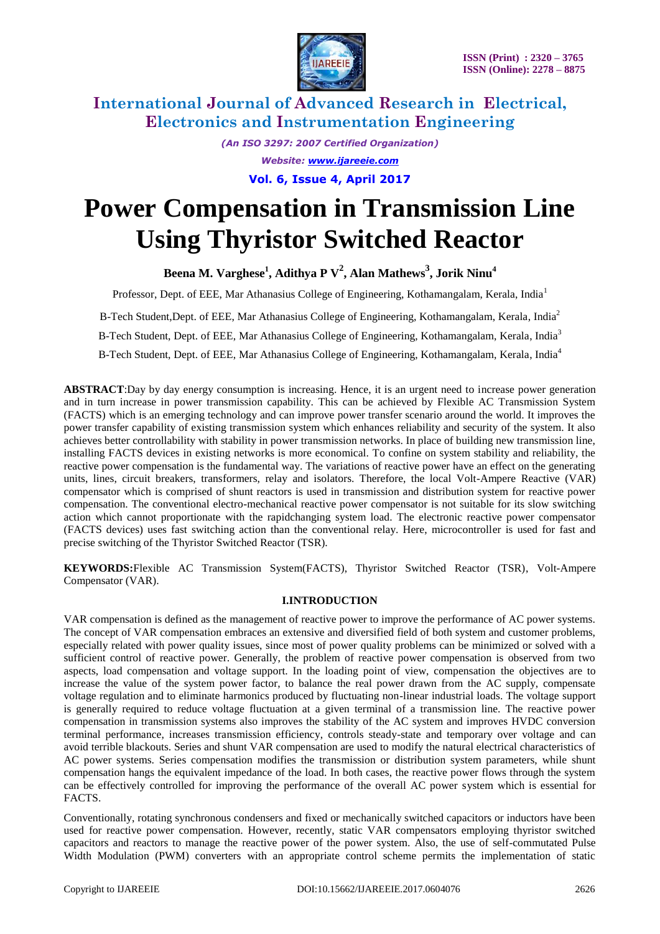

*(An ISO 3297: 2007 Certified Organization) Website: www.ijareeie.com*

**Vol. 6, Issue 4, April 2017**

# **Power Compensation in Transmission Line Using Thyristor Switched Reactor**

**Beena M. Varghese<sup>1</sup> , Adithya P V<sup>2</sup> , Alan Mathews<sup>3</sup> , Jorik Ninu<sup>4</sup>**

Professor, Dept. of EEE, Mar Athanasius College of Engineering, Kothamangalam, Kerala, India<sup>1</sup>

B-Tech Student,Dept. of EEE, Mar Athanasius College of Engineering, Kothamangalam, Kerala, India<sup>2</sup>

B-Tech Student, Dept. of EEE, Mar Athanasius College of Engineering, Kothamangalam, Kerala, India<sup>3</sup>

B-Tech Student, Dept. of EEE, Mar Athanasius College of Engineering, Kothamangalam, Kerala, India<sup>4</sup>

**ABSTRACT**:Day by day energy consumption is increasing. Hence, it is an urgent need to increase power generation and in turn increase in power transmission capability. This can be achieved by Flexible AC Transmission System (FACTS) which is an emerging technology and can improve power transfer scenario around the world. It improves the power transfer capability of existing transmission system which enhances reliability and security of the system. It also achieves better controllability with stability in power transmission networks. In place of building new transmission line, installing FACTS devices in existing networks is more economical. To confine on system stability and reliability, the reactive power compensation is the fundamental way. The variations of reactive power have an effect on the generating units, lines, circuit breakers, transformers, relay and isolators. Therefore, the local Volt-Ampere Reactive (VAR) compensator which is comprised of shunt reactors is used in transmission and distribution system for reactive power compensation. The conventional electro-mechanical reactive power compensator is not suitable for its slow switching action which cannot proportionate with the rapidchanging system load. The electronic reactive power compensator (FACTS devices) uses fast switching action than the conventional relay. Here, microcontroller is used for fast and precise switching of the Thyristor Switched Reactor (TSR).

**KEYWORDS:**Flexible AC Transmission System(FACTS), Thyristor Switched Reactor (TSR), Volt-Ampere Compensator (VAR).

### **I.INTRODUCTION**

VAR compensation is defined as the management of reactive power to improve the performance of AC power systems. The concept of VAR compensation embraces an extensive and diversified field of both system and customer problems, especially related with power quality issues, since most of power quality problems can be minimized or solved with a sufficient control of reactive power. Generally, the problem of reactive power compensation is observed from two aspects, load compensation and voltage support. In the loading point of view, compensation the objectives are to increase the value of the system power factor, to balance the real power drawn from the AC supply, compensate voltage regulation and to eliminate harmonics produced by fluctuating non-linear industrial loads. The voltage support is generally required to reduce voltage fluctuation at a given terminal of a transmission line. The reactive power compensation in transmission systems also improves the stability of the AC system and improves HVDC conversion terminal performance, increases transmission efficiency, controls steady-state and temporary over voltage and can avoid terrible blackouts. Series and shunt VAR compensation are used to modify the natural electrical characteristics of AC power systems. Series compensation modifies the transmission or distribution system parameters, while shunt compensation hangs the equivalent impedance of the load. In both cases, the reactive power flows through the system can be effectively controlled for improving the performance of the overall AC power system which is essential for FACTS.

Conventionally, rotating synchronous condensers and fixed or mechanically switched capacitors or inductors have been used for reactive power compensation. However, recently, static VAR compensators employing thyristor switched capacitors and reactors to manage the reactive power of the power system. Also, the use of self-commutated Pulse Width Modulation (PWM) converters with an appropriate control scheme permits the implementation of static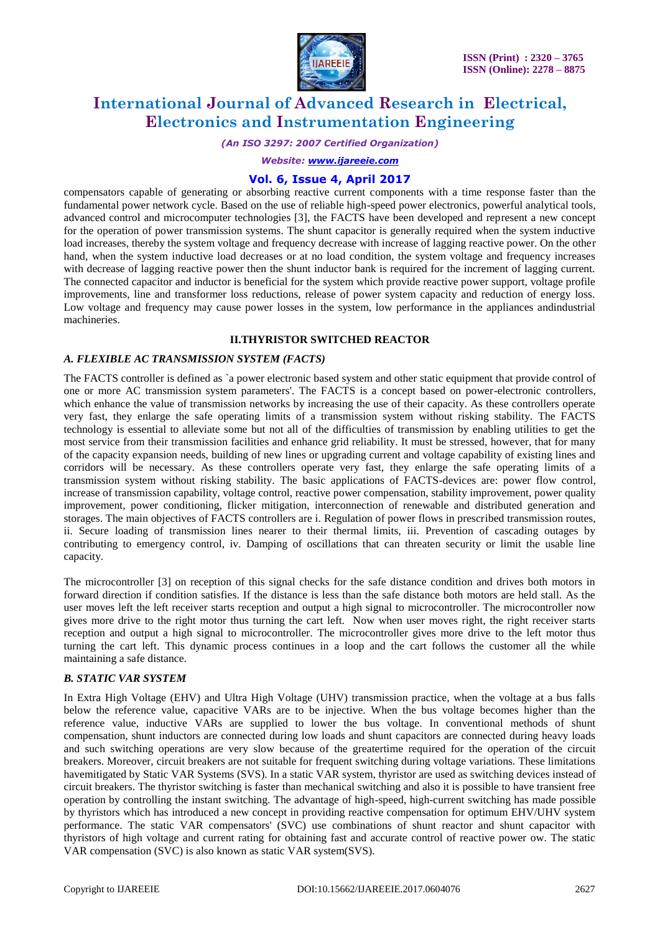

*(An ISO 3297: 2007 Certified Organization)*

*Website: www.ijareeie.com*

#### **Vol. 6, Issue 4, April 2017**

compensators capable of generating or absorbing reactive current components with a time response faster than the fundamental power network cycle. Based on the use of reliable high-speed power electronics, powerful analytical tools, advanced control and microcomputer technologies [3], the FACTS have been developed and represent a new concept for the operation of power transmission systems. The shunt capacitor is generally required when the system inductive load increases, thereby the system voltage and frequency decrease with increase of lagging reactive power. On the other hand, when the system inductive load decreases or at no load condition, the system voltage and frequency increases with decrease of lagging reactive power then the shunt inductor bank is required for the increment of lagging current. The connected capacitor and inductor is beneficial for the system which provide reactive power support, voltage profile improvements, line and transformer loss reductions, release of power system capacity and reduction of energy loss. Low voltage and frequency may cause power losses in the system, low performance in the appliances andindustrial machineries.

#### **II.THYRISTOR SWITCHED REACTOR**

#### *A. FLEXIBLE AC TRANSMISSION SYSTEM (FACTS)*

The FACTS controller is defined as `a power electronic based system and other static equipment that provide control of one or more AC transmission system parameters'. The FACTS is a concept based on power-electronic controllers, which enhance the value of transmission networks by increasing the use of their capacity. As these controllers operate very fast, they enlarge the safe operating limits of a transmission system without risking stability. The FACTS technology is essential to alleviate some but not all of the difficulties of transmission by enabling utilities to get the most service from their transmission facilities and enhance grid reliability. It must be stressed, however, that for many of the capacity expansion needs, building of new lines or upgrading current and voltage capability of existing lines and corridors will be necessary. As these controllers operate very fast, they enlarge the safe operating limits of a transmission system without risking stability. The basic applications of FACTS-devices are: power flow control, increase of transmission capability, voltage control, reactive power compensation, stability improvement, power quality improvement, power conditioning, flicker mitigation, interconnection of renewable and distributed generation and storages. The main objectives of FACTS controllers are i. Regulation of power flows in prescribed transmission routes, ii. Secure loading of transmission lines nearer to their thermal limits, iii. Prevention of cascading outages by contributing to emergency control, iv. Damping of oscillations that can threaten security or limit the usable line capacity.

The microcontroller [3] on reception of this signal checks for the safe distance condition and drives both motors in forward direction if condition satisfies. If the distance is less than the safe distance both motors are held stall. As the user moves left the left receiver starts reception and output a high signal to microcontroller. The microcontroller now gives more drive to the right motor thus turning the cart left. Now when user moves right, the right receiver starts reception and output a high signal to microcontroller. The microcontroller gives more drive to the left motor thus turning the cart left. This dynamic process continues in a loop and the cart follows the customer all the while maintaining a safe distance.

#### *B. STATIC VAR SYSTEM*

In Extra High Voltage (EHV) and Ultra High Voltage (UHV) transmission practice, when the voltage at a bus falls below the reference value, capacitive VARs are to be injective. When the bus voltage becomes higher than the reference value, inductive VARs are supplied to lower the bus voltage. In conventional methods of shunt compensation, shunt inductors are connected during low loads and shunt capacitors are connected during heavy loads and such switching operations are very slow because of the greatertime required for the operation of the circuit breakers. Moreover, circuit breakers are not suitable for frequent switching during voltage variations. These limitations havemitigated by Static VAR Systems (SVS). In a static VAR system, thyristor are used as switching devices instead of circuit breakers. The thyristor switching is faster than mechanical switching and also it is possible to have transient free operation by controlling the instant switching. The advantage of high-speed, high-current switching has made possible by thyristors which has introduced a new concept in providing reactive compensation for optimum EHV/UHV system performance. The static VAR compensators' (SVC) use combinations of shunt reactor and shunt capacitor with thyristors of high voltage and current rating for obtaining fast and accurate control of reactive power ow. The static VAR compensation (SVC) is also known as static VAR system(SVS).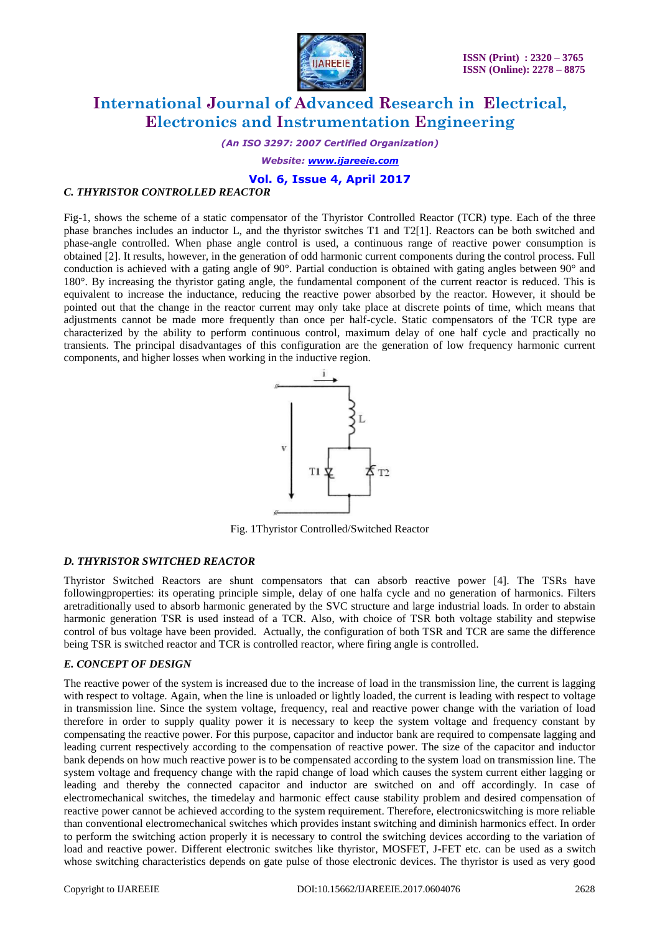

*(An ISO 3297: 2007 Certified Organization)*

*Website: www.ijareeie.com*

#### **Vol. 6, Issue 4, April 2017**

#### *C. THYRISTOR CONTROLLED REACTOR*

Fig-1, shows the scheme of a static compensator of the Thyristor Controlled Reactor (TCR) type. Each of the three phase branches includes an inductor L, and the thyristor switches T1 and T2[1]. Reactors can be both switched and phase-angle controlled. When phase angle control is used, a continuous range of reactive power consumption is obtained [2]. It results, however, in the generation of odd harmonic current components during the control process. Full conduction is achieved with a gating angle of 90°. Partial conduction is obtained with gating angles between 90° and 180°. By increasing the thyristor gating angle, the fundamental component of the current reactor is reduced. This is equivalent to increase the inductance, reducing the reactive power absorbed by the reactor. However, it should be pointed out that the change in the reactor current may only take place at discrete points of time, which means that adjustments cannot be made more frequently than once per half-cycle. Static compensators of the TCR type are characterized by the ability to perform continuous control, maximum delay of one half cycle and practically no transients. The principal disadvantages of this configuration are the generation of low frequency harmonic current components, and higher losses when working in the inductive region.



Fig. 1Thyristor Controlled/Switched Reactor

#### *D. THYRISTOR SWITCHED REACTOR*

Thyristor Switched Reactors are shunt compensators that can absorb reactive power [4]. The TSRs have followingproperties: its operating principle simple, delay of one halfa cycle and no generation of harmonics. Filters aretraditionally used to absorb harmonic generated by the SVC structure and large industrial loads. In order to abstain harmonic generation TSR is used instead of a TCR. Also, with choice of TSR both voltage stability and stepwise control of bus voltage have been provided. Actually, the configuration of both TSR and TCR are same the difference being TSR is switched reactor and TCR is controlled reactor, where firing angle is controlled.

#### *E. CONCEPT OF DESIGN*

The reactive power of the system is increased due to the increase of load in the transmission line, the current is lagging with respect to voltage. Again, when the line is unloaded or lightly loaded, the current is leading with respect to voltage in transmission line. Since the system voltage, frequency, real and reactive power change with the variation of load therefore in order to supply quality power it is necessary to keep the system voltage and frequency constant by compensating the reactive power. For this purpose, capacitor and inductor bank are required to compensate lagging and leading current respectively according to the compensation of reactive power. The size of the capacitor and inductor bank depends on how much reactive power is to be compensated according to the system load on transmission line. The system voltage and frequency change with the rapid change of load which causes the system current either lagging or leading and thereby the connected capacitor and inductor are switched on and off accordingly. In case of electromechanical switches, the timedelay and harmonic effect cause stability problem and desired compensation of reactive power cannot be achieved according to the system requirement. Therefore, electronicswitching is more reliable than conventional electromechanical switches which provides instant switching and diminish harmonics effect. In order to perform the switching action properly it is necessary to control the switching devices according to the variation of load and reactive power. Different electronic switches like thyristor, MOSFET, J-FET etc. can be used as a switch whose switching characteristics depends on gate pulse of those electronic devices. The thyristor is used as very good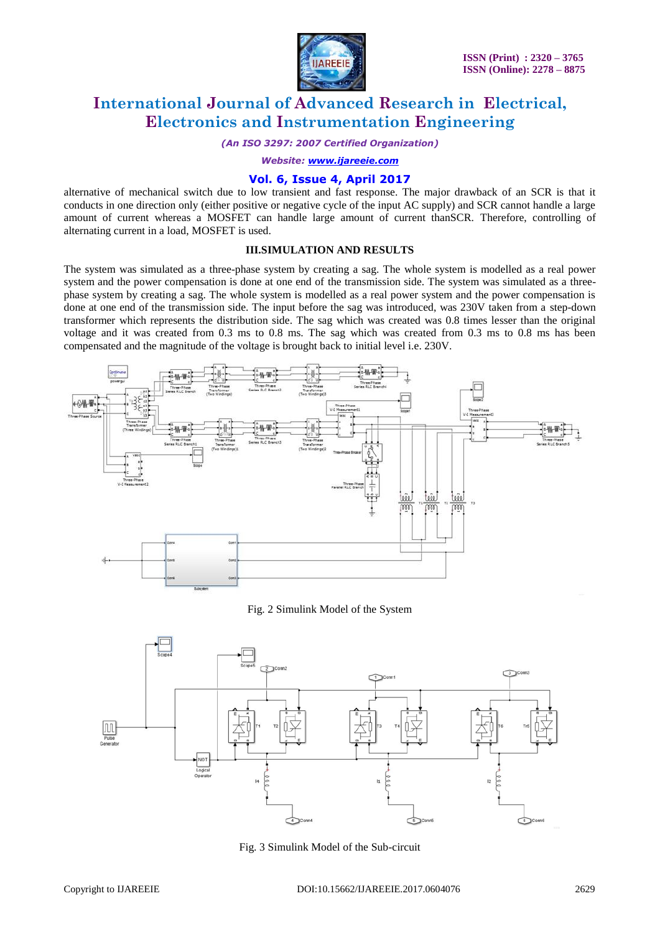

*(An ISO 3297: 2007 Certified Organization)*

*Website: www.ijareeie.com*

#### **Vol. 6, Issue 4, April 2017**

alternative of mechanical switch due to low transient and fast response. The major drawback of an SCR is that it conducts in one direction only (either positive or negative cycle of the input AC supply) and SCR cannot handle a large amount of current whereas a MOSFET can handle large amount of current thanSCR. Therefore, controlling of alternating current in a load, MOSFET is used.

#### **III.SIMULATION AND RESULTS**

The system was simulated as a three-phase system by creating a sag. The whole system is modelled as a real power system and the power compensation is done at one end of the transmission side. The system was simulated as a threephase system by creating a sag. The whole system is modelled as a real power system and the power compensation is done at one end of the transmission side. The input before the sag was introduced, was 230V taken from a step-down transformer which represents the distribution side. The sag which was created was 0.8 times lesser than the original voltage and it was created from 0.3 ms to 0.8 ms. The sag which was created from 0.3 ms to 0.8 ms has been compensated and the magnitude of the voltage is brought back to initial level i.e. 230V.



Fig. 2 Simulink Model of the System



Fig. 3 Simulink Model of the Sub-circuit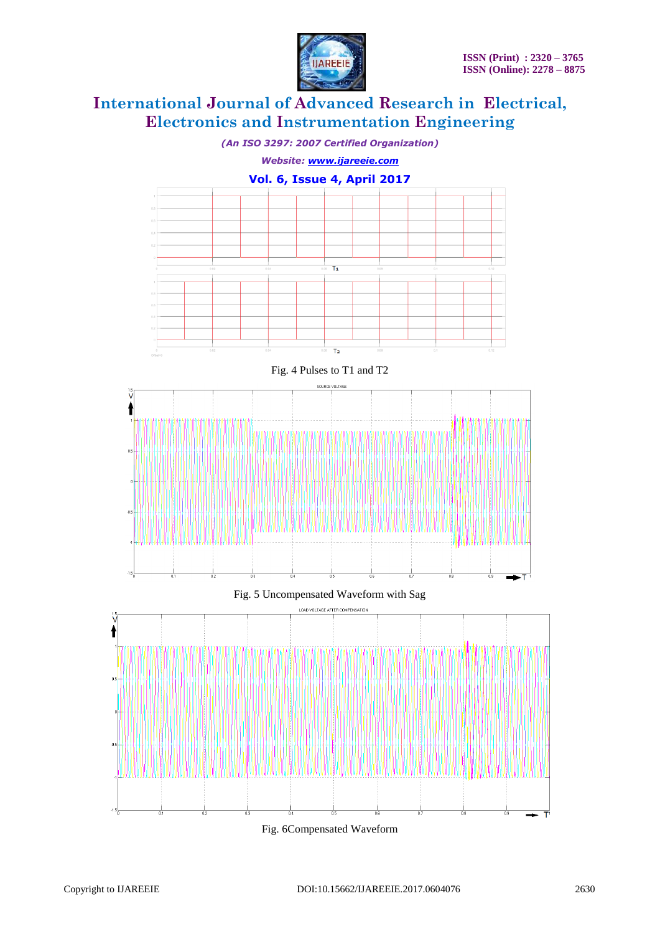



*Website: www.ijareeie.com*



Fig. 6Compensated Waveform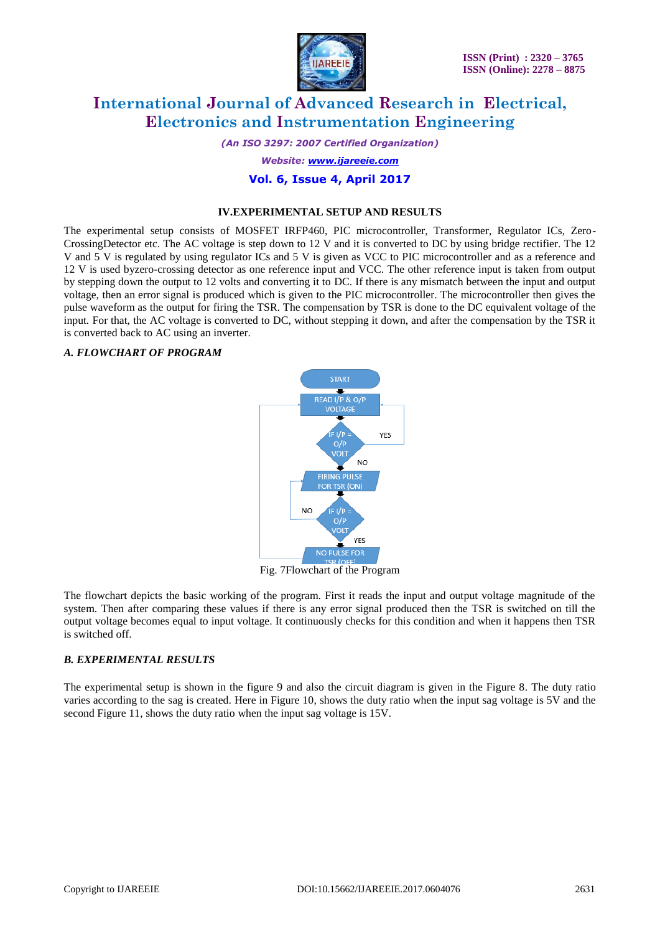

*(An ISO 3297: 2007 Certified Organization) Website: www.ijareeie.com* **Vol. 6, Issue 4, April 2017**

#### **IV.EXPERIMENTAL SETUP AND RESULTS**

The experimental setup consists of MOSFET IRFP460, PIC microcontroller, Transformer, Regulator ICs, Zero-CrossingDetector etc. The AC voltage is step down to 12 V and it is converted to DC by using bridge rectifier. The 12 V and 5 V is regulated by using regulator ICs and 5 V is given as VCC to PIC microcontroller and as a reference and 12 V is used byzero-crossing detector as one reference input and VCC. The other reference input is taken from output by stepping down the output to 12 volts and converting it to DC. If there is any mismatch between the input and output voltage, then an error signal is produced which is given to the PIC microcontroller. The microcontroller then gives the pulse waveform as the output for firing the TSR. The compensation by TSR is done to the DC equivalent voltage of the input. For that, the AC voltage is converted to DC, without stepping it down, and after the compensation by the TSR it is converted back to AC using an inverter.

#### *A. FLOWCHART OF PROGRAM*



Fig. 7Flowchart of the Program

The flowchart depicts the basic working of the program. First it reads the input and output voltage magnitude of the system. Then after comparing these values if there is any error signal produced then the TSR is switched on till the output voltage becomes equal to input voltage. It continuously checks for this condition and when it happens then TSR is switched off.

#### *B. EXPERIMENTAL RESULTS*

The experimental setup is shown in the figure 9 and also the circuit diagram is given in the Figure 8. The duty ratio varies according to the sag is created. Here in Figure 10, shows the duty ratio when the input sag voltage is 5V and the second Figure 11, shows the duty ratio when the input sag voltage is 15V.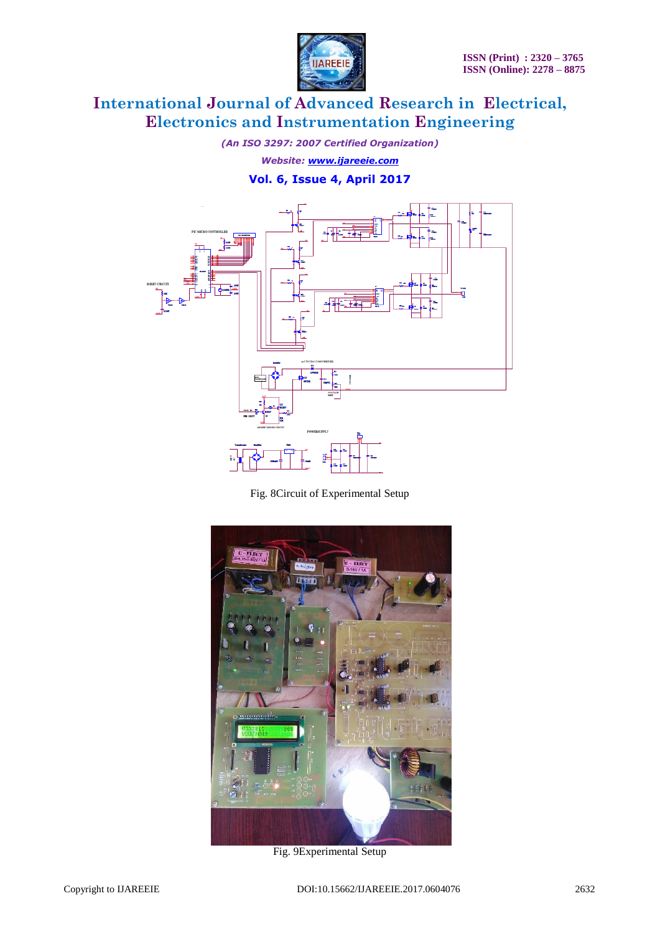

*(An ISO 3297: 2007 Certified Organization) Website: www.ijareeie.com*

### **Vol. 6, Issue 4, April 2017**



Fig. 8Circuit of Experimental Setup



Fig. 9Experimental Setup